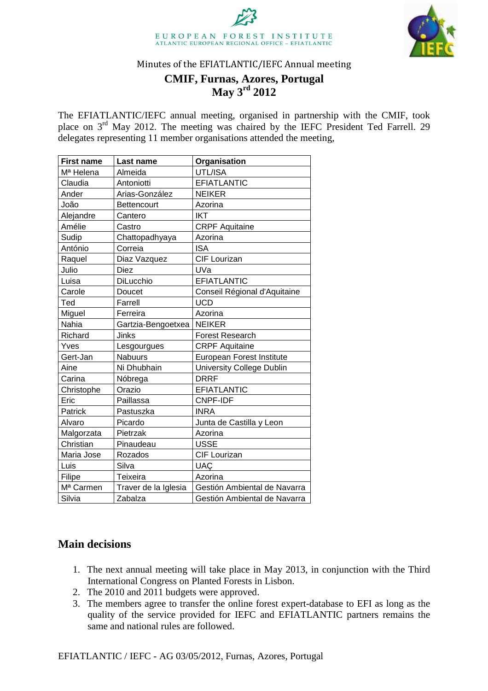



Minutes of the EFIATLANTIC/IEFC Annual meeting

# **CMIF, Furnas, Azores, Portugal May 3rd 2012**

The EFIATLANTIC/IEFC annual meeting, organised in partnership with the CMIF, took place on 3rd May 2012. The meeting was chaired by the IEFC President Ted Farrell. 29 delegates representing 11 member organisations attended the meeting,

| <b>First name</b>     | Last name            | Organisation                     |
|-----------------------|----------------------|----------------------------------|
| M <sup>a</sup> Helena | Almeida              | UTL/ISA                          |
| Claudia               | Antoniotti           | <b>EFIATLANTIC</b>               |
| Ander                 | Arias-González       | <b>NEIKER</b>                    |
| João                  | Bettencourt          | Azorina                          |
| Alejandre             | Cantero              | <b>IKT</b>                       |
| Amélie                | Castro               | <b>CRPF Aquitaine</b>            |
| Sudip                 | Chattopadhyaya       | Azorina                          |
| António               | Correia              | <b>ISA</b>                       |
| Raquel                | Diaz Vazquez         | CIF Lourizan                     |
| Julio                 | <b>Diez</b>          | UVa                              |
| Luisa                 | DiLucchio            | <b>EFIATLANTIC</b>               |
| Carole                | Doucet               | Conseil Régional d'Aquitaine     |
| Ted                   | Farrell              | <b>UCD</b>                       |
| Miguel                | Ferreira             | Azorina                          |
| Nahia                 | Gartzia-Bengoetxea   | <b>NEIKER</b>                    |
| Richard               | Jinks                | <b>Forest Research</b>           |
| Yves                  | Lesgourgues          | <b>CRPF Aquitaine</b>            |
| Gert-Jan              | <b>Nabuurs</b>       | European Forest Institute        |
| Aine                  | Ni Dhubhain          | <b>University College Dublin</b> |
| Carina                | Nóbrega              | <b>DRRF</b>                      |
| Christophe            | Orazio               | <b>EFIATLANTIC</b>               |
| Eric                  | Paillassa            | <b>CNPF-IDF</b>                  |
| Patrick               | Pastuszka            | <b>INRA</b>                      |
| Alvaro                | Picardo              | Junta de Castilla y Leon         |
| Malgorzata            | Pietrzak             | Azorina                          |
| Christian             | Pinaudeau            | <b>USSE</b>                      |
| Maria Jose            | Rozados              | CIF Lourizan                     |
| Luis                  | Silva                | <b>UAC</b>                       |
| Filipe                | Teixeira             | Azorina                          |
| M <sup>a</sup> Carmen | Traver de la Iglesia | Gestión Ambiental de Navarra     |
| Silvia                | Zabalza              | Gestión Ambiental de Navarra     |

## **Main decisions**

- 1. The next annual meeting will take place in May 2013, in conjunction with the Third International Congress on Planted Forests in Lisbon.
- 2. The 2010 and 2011 budgets were approved.
- 3. The members agree to transfer the online forest expert-database to EFI as long as the quality of the service provided for IEFC and EFIATLANTIC partners remains the same and national rules are followed.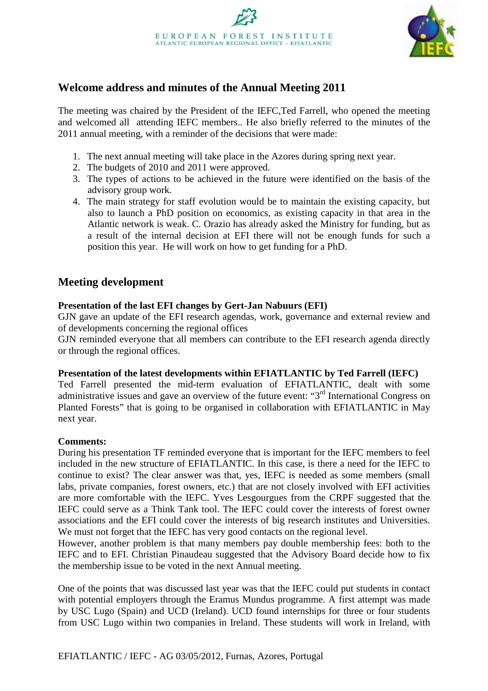

# **Welcome address and minutes of the Annual Meeting 2011**

The meeting was chaired by the President of the IEFC,Ted Farrell, who opened the meeting and welcomed all attending IEFC members.. He also briefly referred to the minutes of the 2011 annual meeting, with a reminder of the decisions that were made:

- 1. The next annual meeting will take place in the Azores during spring next year.
- 2. The budgets of 2010 and 2011 were approved.
- 3. The types of actions to be achieved in the future were identified on the basis of the advisory group work.
- 4. The main strategy for staff evolution would be to maintain the existing capacity, but also to launch a PhD position on economics, as existing capacity in that area in the Atlantic network is weak. C. Orazio has already asked the Ministry for funding, but as a result of the internal decision at EFI there will not be enough funds for such a position this year. He will work on how to get funding for a PhD.

# **Meeting development**

## **Presentation of the last EFI changes by Gert-Jan Nabuurs (EFI)**

GJN gave an update of the EFI research agendas, work, governance and external review and of developments concerning the regional offices

GJN reminded everyone that all members can contribute to the EFI research agenda directly or through the regional offices.

#### **Presentation of the latest developments within EFIATLANTIC by Ted Farrell (IEFC)**

Ted Farrell presented the mid-term evaluation of EFIATLANTIC, dealt with some administrative issues and gave an overview of the future event: "3<sup>rd</sup> International Congress on Planted Forests" that is going to be organised in collaboration with EFIATLANTIC in May next year.

#### **Comments:**

During his presentation TF reminded everyone that is important for the IEFC members to feel included in the new structure of EFIATLANTIC. In this case, is there a need for the IEFC to continue to exist? The clear answer was that, yes, IEFC is needed as some members (small labs, private companies, forest owners, etc.) that are not closely involved with EFI activities are more comfortable with the IEFC. Yves Lesgourgues from the CRPF suggested that the IEFC could serve as a Think Tank tool. The IEFC could cover the interests of forest owner associations and the EFI could cover the interests of big research institutes and Universities. We must not forget that the IEFC has very good contacts on the regional level.

However, another problem is that many members pay double membership fees: both to the IEFC and to EFI. Christian Pinaudeau suggested that the Advisory Board decide how to fix the membership issue to be voted in the next Annual meeting.

One of the points that was discussed last year was that the IEFC could put students in contact with potential employers through the Eramus Mundus programme. A first attempt was made by USC Lugo (Spain) and UCD (Ireland). UCD found internships for three or four students from USC Lugo within two companies in Ireland. These students will work in Ireland, with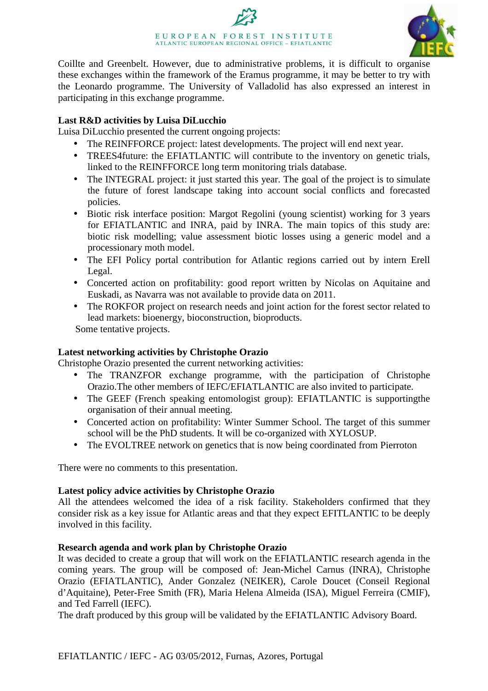# EUROPEAN FOREST INSTITUTE ATLANTIC EUROPEAN REGIONAL OFFICE - EFIATLANTIC



Coillte and Greenbelt. However, due to administrative problems, it is difficult to organise these exchanges within the framework of the Eramus programme, it may be better to try with the Leonardo programme. The University of Valladolid has also expressed an interest in participating in this exchange programme.

## **Last R&D activities by Luisa DiLucchio**

Luisa DiLucchio presented the current ongoing projects:

- The REINFFORCE project: latest developments. The project will end next year.
- TREES4 future: the EFIATLANTIC will contribute to the inventory on genetic trials, linked to the REINFFORCE long term monitoring trials database.
- The INTEGRAL project: it just started this year. The goal of the project is to simulate the future of forest landscape taking into account social conflicts and forecasted policies.
- Biotic risk interface position: Margot Regolini (young scientist) working for 3 years for EFIATLANTIC and INRA, paid by INRA. The main topics of this study are: biotic risk modelling; value assessment biotic losses using a generic model and a processionary moth model.
- The EFI Policy portal contribution for Atlantic regions carried out by intern Erell Legal.
- Concerted action on profitability: good report written by Nicolas on Aquitaine and Euskadi, as Navarra was not available to provide data on 2011.
- The ROKFOR project on research needs and joint action for the forest sector related to lead markets: bioenergy, bioconstruction, bioproducts.

Some tentative projects.

## **Latest networking activities by Christophe Orazio**

Christophe Orazio presented the current networking activities:

- The TRANZFOR exchange programme, with the participation of Christophe Orazio.The other members of IEFC/EFIATLANTIC are also invited to participate.
- The GEEF (French speaking entomologist group): EFIATLANTIC is supporting the organisation of their annual meeting.
- Concerted action on profitability: Winter Summer School. The target of this summer school will be the PhD students. It will be co-organized with XYLOSUP.
- The EVOLTREE network on genetics that is now being coordinated from Pierroton

There were no comments to this presentation.

## **Latest policy advice activities by Christophe Orazio**

All the attendees welcomed the idea of a risk facility. Stakeholders confirmed that they consider risk as a key issue for Atlantic areas and that they expect EFITLANTIC to be deeply involved in this facility.

## **Research agenda and work plan by Christophe Orazio**

It was decided to create a group that will work on the EFIATLANTIC research agenda in the coming years. The group will be composed of: Jean-Michel Carnus (INRA), Christophe Orazio (EFIATLANTIC), Ander Gonzalez (NEIKER), Carole Doucet (Conseil Regional d'Aquitaine), Peter-Free Smith (FR), Maria Helena Almeida (ISA), Miguel Ferreira (CMIF), and Ted Farrell (IEFC).

The draft produced by this group will be validated by the EFIATLANTIC Advisory Board.